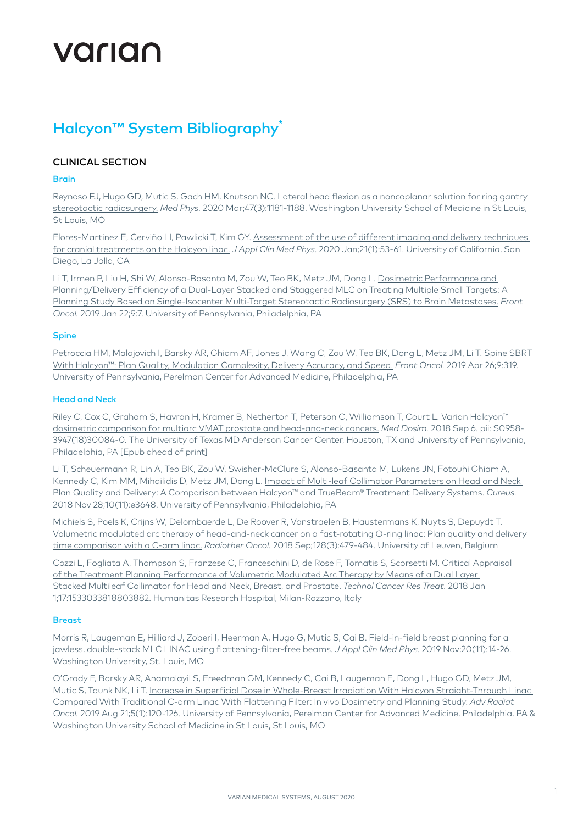# VALIAN

# Halcyon™ System Bibliography<sup>\*</sup>

## CLINICAL SECTION

#### Brain

Reynoso FJ, Hugo GD, Mutic S, Gach HM, Knutson NC. [Lateral head flexion as a noncoplanar solution for ring gantry](https://pubmed.ncbi.nlm.nih.gov/31840258/)  [stereotactic radiosurgery.](https://pubmed.ncbi.nlm.nih.gov/31840258/) *Med Phys*. 2020 Mar;47(3):1181-1188. Washington University School of Medicine in St Louis, St Louis, MO

Flores-Martinez E, Cerviño LI, Pawlicki T, Kim GY. [Assessment of the use of different imaging and delivery techniques](https://pubmed.ncbi.nlm.nih.gov/31738473/)  [for cranial treatments on the Halcyon linac.](https://pubmed.ncbi.nlm.nih.gov/31738473/) *J Appl Clin Med Phys*. 2020 Jan;21(1):53-61. University of California, San Diego, La Jolla, CA

Li T, Irmen P, Liu H, Shi W, Alonso-Basanta M, Zou W, Teo BK, Metz JM, Dong L. [Dosimetric Performance and](https://www.ncbi.nlm.nih.gov/pubmed/30723702)  [Planning/Delivery Efficiency of a Dual-Layer Stacked and Staggered MLC on Treating Multiple Small Targets: A](https://www.ncbi.nlm.nih.gov/pubmed/30723702)  [Planning Study Based on Single-Isocenter Multi-Target Stereotactic Radiosurgery \(SRS\) to Brain Metastases.](https://www.ncbi.nlm.nih.gov/pubmed/30723702) *Front Oncol.* 2019 Jan 22;9:7. University of Pennsylvania, Philadelphia, PA

#### Spine

Petroccia HM, Malajovich I, Barsky AR, Ghiam AF, Jones J, Wang C, Zou W, Teo BK, Dong L, Metz JM, Li T. Spine SBRT [With Halcyon™: Plan Quality, Modulation Complexity, Delivery Accuracy, and Speed.](https://pubmed.ncbi.nlm.nih.gov/31106151/) *Front Oncol.* 2019 Apr 26;9:319. University of Pennsylvania, Perelman Center for Advanced Medicine, Philadelphia, PA

#### Head and Neck

Riley C, Cox C, Graham S, Havran H, Kramer B, Netherton T, Peterson C, Williamson T, Court L. [Varian Halcyon™](https://www.ncbi.nlm.nih.gov/pubmed/30197035)  [dosimetric comparison for multiarc VMAT prostate and head-and-neck cancers.](https://www.ncbi.nlm.nih.gov/pubmed/30197035) *Med Dosim.* 2018 Sep 6. pii: S0958- 3947(18)30084-0. The University of Texas MD Anderson Cancer Center, Houston, TX and University of Pennsylvania, Philadelphia, PA [Epub ahead of print]

Li T, Scheuermann R, Lin A, Teo BK, Zou W, Swisher-McClure S, Alonso-Basanta M, Lukens JN, Fotouhi Ghiam A, Kennedy C, Kim MM, Mihailidis D, Metz JM, Dong L. [Impact of Multi-leaf Collimator Parameters on Head and Neck](https://www.ncbi.nlm.nih.gov/pubmed/30723647)  [Plan Quality and Delivery: A Comparison between Halcyon™ and TrueBeam® Treatment Delivery Systems.](https://www.ncbi.nlm.nih.gov/pubmed/30723647) *Cureus.*  2018 Nov 28;10(11):e3648. University of Pennsylvania, Philadelphia, PA

Michiels S, Poels K, Crijns W, Delombaerde L, De Roover R, Vanstraelen B, Haustermans K, Nuyts S, Depuydt T. [Volumetric modulated arc therapy of head-and-neck cancer on a fast-rotating O-ring linac: Plan quality and delivery](https://www.ncbi.nlm.nih.gov/pubmed/29739713)  [time comparison with a C-arm linac.](https://www.ncbi.nlm.nih.gov/pubmed/29739713) *Radiother Oncol.* 2018 Sep;128(3):479-484. University of Leuven, Belgium

Cozzi L, Fogliata A, Thompson S, Franzese C, Franceschini D, de Rose F, Tomatis S, Scorsetti M. [Critical Appraisal](https://www.ncbi.nlm.nih.gov/pubmed/30295172)  [of the Treatment Planning Performance of Volumetric Modulated Arc Therapy by Means of a Dual Layer](https://www.ncbi.nlm.nih.gov/pubmed/30295172)  [Stacked Multileaf Collimator for Head and Neck, Breast, and Prostate.](https://www.ncbi.nlm.nih.gov/pubmed/30295172) *Technol Cancer Res Treat.* 2018 Jan 1;17:1533033818803882. Humanitas Research Hospital, Milan-Rozzano, Italy

#### **Breast**

Morris R, Laugeman E, Hilliard J, Zoberi I, Heerman A, Hugo G, Mutic S, Cai B. [Field-in-field breast planning for a](https://pubmed.ncbi.nlm.nih.gov/?term=field-in-field+breast+planning)  [jawless, double-stack MLC LINAC using flattening-filter-free beams.](https://pubmed.ncbi.nlm.nih.gov/?term=field-in-field+breast+planning) *J Appl Clin Med Phys*. 2019 Nov;20(11):14-26. Washington University, St. Louis, MO

O'Grady F, Barsky AR, Anamalayil S, Freedman GM, Kennedy C, Cai B, Laugeman E, Dong L, Hugo GD, Metz JM, Mutic S, Taunk NK, Li T. [Increase in Superficial Dose in Whole-Breast Irradiation With Halcyon Straight-Through Linac](https://pubmed.ncbi.nlm.nih.gov/32051898/)  [Compared With Traditional C-arm Linac With Flattening Filter: In vivo Dosimetry and Planning Study.](https://pubmed.ncbi.nlm.nih.gov/32051898/) *Adv Radiat Oncol.* 2019 Aug 21;5(1):120-126. University of Pennsylvania, Perelman Center for Advanced Medicine, Philadelphia, PA & Washington University School of Medicine in St Louis, St Louis, MO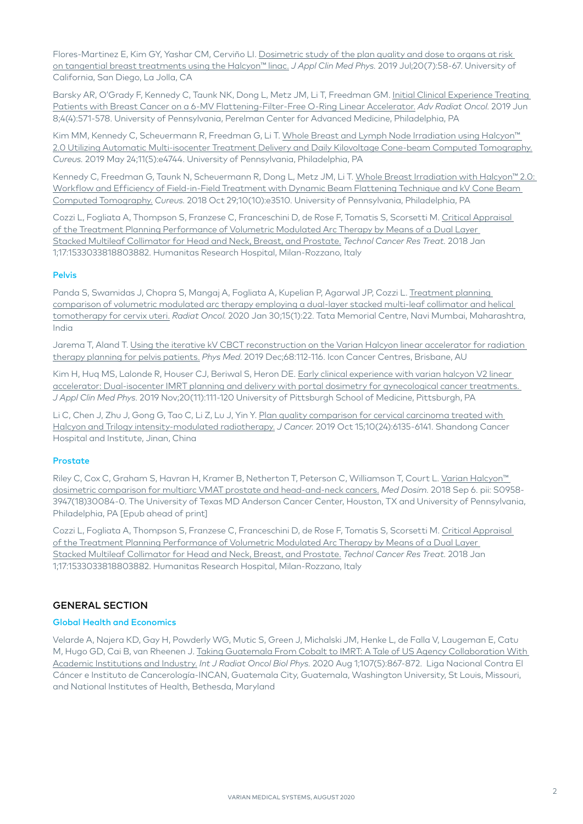Flores-Martinez E, Kim GY, Yashar CM, Cerviño LI. [Dosimetric study of the plan quality and dose to organs at risk](https://www.ncbi.nlm.nih.gov/pubmed/31183967)  [on tangential breast treatments using the Halcyon™ linac.](https://www.ncbi.nlm.nih.gov/pubmed/31183967) *J Appl Clin Med Phys.* 2019 Jul;20(7):58-67. University of California, San Diego, La Jolla, CA

Barsky AR, O'Grady F, Kennedy C, Taunk NK, Dong L, Metz JM, Li T, Freedman GM. [Initial Clinical Experience Treating](https://pubmed.ncbi.nlm.nih.gov/32051898/)  [Patients with Breast Cancer on a 6-MV Flattening-Filter-Free O-Ring Linear Accelerator.](https://pubmed.ncbi.nlm.nih.gov/32051898/) *Adv Radiat Oncol.* 2019 Jun 8;4(4):571-578. University of Pennsylvania, Perelman Center for Advanced Medicine, Philadelphia, PA

Kim MM, Kennedy C, Scheuermann R, Freedman G, Li T. Whole Breast and Lymph Node Irradiation using Halcyon™ [2.0 Utilizing Automatic Multi-isocenter Treatment Delivery and Daily Kilovoltage Cone-beam Computed Tomography.](https://www.ncbi.nlm.nih.gov/pmc/articles/PMC6663281/) *Cureus.* 2019 May 24;11(5):e4744. University of Pennsylvania, Philadelphia, PA

Kennedy C, Freedman G, Taunk N, Scheuermann R, Dong L, Metz JM, Li T. [Whole Breast Irradiation with Halcyon™ 2.0:](https://www.ncbi.nlm.nih.gov/pubmed/30627492)  [Workflow and Efficiency of Field-in-Field Treatment with Dynamic Beam Flattening Technique and kV Cone Beam](https://www.ncbi.nlm.nih.gov/pubmed/30627492)  [Computed Tomography.](https://www.ncbi.nlm.nih.gov/pubmed/30627492) *Cureus.* 2018 Oct 29;10(10):e3510. University of Pennsylvania, Philadelphia, PA

Cozzi L, Fogliata A, Thompson S, Franzese C, Franceschini D, de Rose F, Tomatis S, Scorsetti M. [Critical Appraisal](https://www.ncbi.nlm.nih.gov/pubmed/30295172)  [of the Treatment Planning Performance of Volumetric Modulated Arc Therapy by Means of a Dual Layer](https://www.ncbi.nlm.nih.gov/pubmed/30295172)  [Stacked Multileaf Collimator for Head and Neck, Breast, and Prostate.](https://www.ncbi.nlm.nih.gov/pubmed/30295172) *Technol Cancer Res Treat.* 2018 Jan 1;17:1533033818803882. Humanitas Research Hospital, Milan-Rozzano, Italy

#### Pelvis

Panda S, Swamidas J, Chopra S, Mangaj A, Fogliata A, Kupelian P, Agarwal JP, Cozzi L. Treatment planning [comparison of volumetric modulated arc therapy employing a dual-layer stacked multi-leaf collimator and helical](https://pubmed.ncbi.nlm.nih.gov/32000832/)  [tomotherapy for cervix uteri](https://pubmed.ncbi.nlm.nih.gov/32000832/). *Radiat Oncol.* 2020 Jan 30;15(1):22. Tata Memorial Centre, Navi Mumbai, Maharashtra, India

Jarema T, Aland T. [Using the iterative kV CBCT reconstruction on the Varian Halcyon linear accelerator for radiation](https://pubmed.ncbi.nlm.nih.gov/31783220/)  [therapy planning for pelvis patients.](https://pubmed.ncbi.nlm.nih.gov/31783220/) *Phys Med*. 2019 Dec;68:112-116. Icon Cancer Centres, Brisbane, AU

Kim H, Huq MS, Lalonde R, Houser CJ, Beriwal S, Heron DE. [Early clinical experience with varian halcyon V2 linear](https://pubmed.ncbi.nlm.nih.gov/31660682/)  [accelerator: Dual-isocenter IMRT planning and delivery with portal dosimetry for gynecological cancer treatments.](https://pubmed.ncbi.nlm.nih.gov/31660682/)  *J Appl Clin Med Phys.* 2019 Nov;20(11):111-120 University of Pittsburgh School of Medicine, Pittsburgh, PA

Li C, Chen J, Zhu J, Gong G, Tao C, Li Z, Lu J, Yin Y. Plan quality comparison for cervical carcinoma treated with [Halcyon and Trilogy intensity-modulated radiotherapy.](https://pubmed.ncbi.nlm.nih.gov/31762823/) *J Cancer.* 2019 Oct 15;10(24):6135-6141. Shandong Cancer Hospital and Institute, Jinan, China

#### **Prostate**

Riley C. Cox C, Graham S, Havran H, Kramer B, Netherton T, Peterson C, Williamson T, Court L. Varian Halcyon™ [dosimetric comparison for multiarc VMAT prostate and head-and-neck cancers.](https://www.ncbi.nlm.nih.gov/pubmed/30197035) *Med Dosim.* 2018 Sep 6. pii: S0958- 3947(18)30084-0. The University of Texas MD Anderson Cancer Center, Houston, TX and University of Pennsylvania, Philadelphia, PA [Epub ahead of print]

Cozzi L, Fogliata A, Thompson S, Franzese C, Franceschini D, de Rose F, Tomatis S, Scorsetti M. [Critical Appraisal](https://www.ncbi.nlm.nih.gov/pubmed/30295172)  [of the Treatment Planning Performance of Volumetric Modulated Arc Therapy by Means of a Dual Layer](https://www.ncbi.nlm.nih.gov/pubmed/30295172)  [Stacked Multileaf Collimator for Head and Neck, Breast, and Prostate.](https://www.ncbi.nlm.nih.gov/pubmed/30295172) *Technol Cancer Res Treat.* 2018 Jan 1;17:1533033818803882. Humanitas Research Hospital, Milan-Rozzano, Italy

## GENERAL SECTION

#### Global Health and Economics

Velarde A, Najera KD, Gay H, Powderly WG, Mutic S, Green J, Michalski JM, Henke L, de Falla V, Laugeman E, Catu M, Hugo GD, Cai B, van Rheenen J. [Taking Guatemala From Cobalt to IMRT: A Tale of US Agency Collaboration With](https://pubmed.ncbi.nlm.nih.gov/32698977/)  [Academic Institutions and Industry.](https://pubmed.ncbi.nlm.nih.gov/32698977/) *Int J Radiat Oncol Biol Phys.* 2020 Aug 1;107(5):867-872. Liga Nacional Contra El Cáncer e Instituto de Cancerología-INCAN, Guatemala City, Guatemala, Washington University, St Louis, Missouri, and National Institutes of Health, Bethesda, Maryland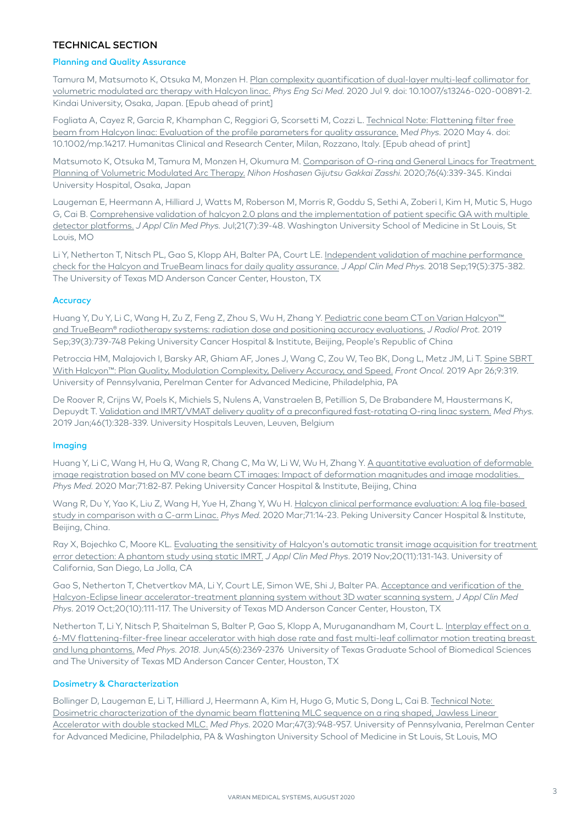### TECHNICAL SECTION

#### Planning and Quality Assurance

Tamura M, Matsumoto K, Otsuka M, Monzen H. Plan complexity quantification of dual-layer multi-leaf collimator for [volumetric modulated arc therapy with Halcyon linac](https://pubmed.ncbi.nlm.nih.gov/32648112/). *Phys Eng Sci Med.* 2020 Jul 9. doi: 10.1007/s13246-020-00891-2. Kindai University, Osaka, Japan. [Epub ahead of print]

Fogliata A, Cayez R, Garcia R, Khamphan C, Reggiori G, Scorsetti M, Cozzi L. [Technical Note: Flattening filter free](https://pubmed.ncbi.nlm.nih.gov/32367534/)  [beam from Halcyon linac: Evaluation of the profile parameters for quality assurance.](https://pubmed.ncbi.nlm.nih.gov/32367534/) M*ed Phys.* 2020 May 4. doi: 10.1002/mp.14217. Humanitas Clinical and Research Center, Milan, Rozzano, Italy. [Epub ahead of print]

Matsumoto K, Otsuka M, Tamura M, Monzen H, Okumura M. [Comparison of O-ring and General Linacs for Treatment](https://pubmed.ncbi.nlm.nih.gov/32307361/)  [Planning of Volumetric Modulated Arc Therapy.](https://pubmed.ncbi.nlm.nih.gov/32307361/) *Nihon Hoshasen Gijutsu Gakkai Zasshi*. 2020;76(4):339-345. Kindai University Hospital, Osaka, Japan

Laugeman E, Heermann A, Hilliard J, Watts M, Roberson M, Morris R, Goddu S, Sethi A, Zoberi I, Kim H, Mutic S, Hugo G, Cai B. [Comprehensive validation of halcyon 2.0 plans and the implementation of patient specific QA with multiple](https://pubmed.ncbi.nlm.nih.gov/32368862/)  [detector platforms.](https://pubmed.ncbi.nlm.nih.gov/32368862/) *J Appl Clin Med Phys.* Jul;21(7):39-48. Washington University School of Medicine in St Louis, St Louis, MO

Li Y, Netherton T, Nitsch PL, Gao S, Klopp AH, Balter PA, Court LE. [Independent validation of machine performance](https://pubmed.ncbi.nlm.nih.gov/30016578/)  [check for the Halcyon and TrueBeam linacs for daily quality assurance.](https://pubmed.ncbi.nlm.nih.gov/30016578/) *J Appl Clin Med Phys.* 2018 Sep;19(5):375-382. The University of Texas MD Anderson Cancer Center, Houston, TX

#### **Accuracy**

Huang Y, Du Y, Li C, Wang H, Zu Z, Feng Z, Zhou S, Wu H, Zhang Y. [Pediatric cone beam CT on Varian Halcyon™](https://www.ncbi.nlm.nih.gov/pubmed/31042686)  [and TrueBeam® radiotherapy systems: radiation dose and positioning accuracy evaluations.](https://www.ncbi.nlm.nih.gov/pubmed/31042686) *J Radiol Prot.* 2019 Sep;39(3):739-748 Peking University Cancer Hospital & Institute, Beijing, People's Republic of China

Petroccia HM, Malajovich I, Barsky AR, Ghiam AF, Jones J, Wang C, Zou W, Teo BK, Dong L, Metz JM, Li T. [Spine SBRT](https://pubmed.ncbi.nlm.nih.gov/31106151/)  [With Halcyon™: Plan Quality, Modulation Complexity, Delivery Accuracy, and Speed.](https://pubmed.ncbi.nlm.nih.gov/31106151/) *Front Oncol.* 2019 Apr 26;9:319. University of Pennsylvania, Perelman Center for Advanced Medicine, Philadelphia, PA

De Roover R, Crijns W, Poels K, Michiels S, Nulens A, Vanstraelen B, Petillion S, De Brabandere M, Haustermans K, Depuydt T. [Validation and IMRT/VMAT delivery quality of a preconfigured fast-rotating O-ring linac system.](https://www.ncbi.nlm.nih.gov/pubmed/30417523) *Med Phys.*  2019 Jan;46(1):328-339. University Hospitals Leuven, Leuven, Belgium

#### Imaging

Huang Y, Li C, Wang H, Hu Q, Wang R, Chang C, Ma W, Li W, Wu H, Zhang Y. A quantitative evaluation of deformable [image registration based on MV cone beam CT images: Impact of deformation magnitudes and image modalities.](https://pubmed.ncbi.nlm.nih.gov/32097874/)  *Phys Med.* 2020 Mar;71:82-87. Peking University Cancer Hospital & Institute, Beijing, China

Wang R, Du Y, Yao K, Liu Z, Wang H, Yue H, Zhang Y, Wu H. Halcyon clinical performance evaluation: A log file-based [study in comparison with a C-arm Linac.](https://pubmed.ncbi.nlm.nih.gov/32086148/) *Phys Med*. 2020 Mar;71:14-23. Peking University Cancer Hospital & Institute, Beijing, China.

Ray X, Bojechko C, Moore KL. [Evaluating the sensitivity of Halcyon's automatic transit image acquisition for treatment](https://pubmed.ncbi.nlm.nih.gov/31587477/)  [error detection: A phantom study using static IMRT.](https://pubmed.ncbi.nlm.nih.gov/31587477/) *J Appl Clin Med Phys*. 2019 Nov;20(11):131-143. University of California, San Diego, La Jolla, CA

Gao S, Netherton T, Chetvertkov MA, Li Y, Court LE, Simon WE, Shi J, Balter PA. [Acceptance and verification of the](https://pubmed.ncbi.nlm.nih.gov/31553525/)  [Halcyon-Eclipse linear accelerator-treatment planning system without 3D water scanning system.](https://pubmed.ncbi.nlm.nih.gov/31553525/) *J Appl Clin Med Phys.* 2019 Oct;20(10):111-117. The University of Texas MD Anderson Cancer Center, Houston, TX

Netherton T, Li Y, Nitsch P, Shaitelman S, Balter P, Gao S, Klopp A, Muruganandham M, Court L. Interplay effect on a [6-MV flattening-filter-free linear accelerator with high dose rate and fast multi-leaf collimator motion treating breast](https://pubmed.ncbi.nlm.nih.gov/29611210/)  [and lung phantoms.](https://pubmed.ncbi.nlm.nih.gov/29611210/) *Med Phys. 2018.* Jun;45(6):2369-2376 University of Texas Graduate School of Biomedical Sciences and The University of Texas MD Anderson Cancer Center, Houston, TX

#### Dosimetry & Characterization

Bollinger D, Laugeman E, Li T, Hilliard J, Heermann A, Kim H, Hugo G, Mutic S, Dong L, Cai B. [Technical Note:](https://pubmed.ncbi.nlm.nih.gov/31885088/)  [Dosimetric characterization of the dynamic beam flattening MLC sequence on a ring shaped, Jawless Linear](https://pubmed.ncbi.nlm.nih.gov/31885088/)  [Accelerator with double stacked MLC.](https://pubmed.ncbi.nlm.nih.gov/31885088/) *Med Phys*. 2020 Mar;47(3):948-957. University of Pennsylvania, Perelman Center for Advanced Medicine, Philadelphia, PA & Washington University School of Medicine in St Louis, St Louis, MO